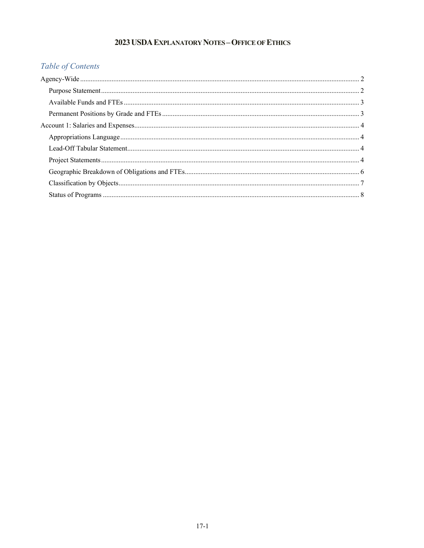# 2023 USDA EXPLANATORY NOTES - OFFICE OF ETHICS

# Table of Contents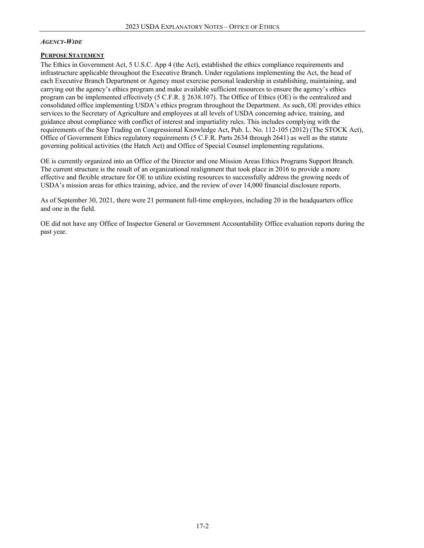## <span id="page-1-0"></span>*AGENCY-WIDE*

### <span id="page-1-1"></span>**PURPOSE STATEMENT**

The Ethics in Government Act, 5 U.S.C. App 4 (the Act), established the ethics compliance requirements and infrastructure applicable throughout the Executive Branch. Under regulations implementing the Act, the head of each Executive Branch Department or Agency must exercise personal leadership in establishing, maintaining, and carrying out the agency's ethics program and make available sufficient resources to ensure the agency's ethics program can be implemented effectively (5 C.F.R. § 2638.107). The Office of Ethics (OE) is the centralized and consolidated office implementing USDA's ethics program throughout the Department. As such, OE provides ethics services to the Secretary of Agriculture and employees at all levels of USDA concerning advice, training, and guidance about compliance with conflict of interest and impartiality rules. This includes complying with the requirements of the Stop Trading on Congressional Knowledge Act, Pub. L. No. 112-105 (2012) (The STOCK Act), Office of Government Ethics regulatory requirements (5 C.F.R. Parts 2634 through 2641) as well as the statute governing political activities (the Hatch Act) and Office of Special Counsel implementing regulations.

OE is currently organized into an Office of the Director and one Mission Areas Ethics Programs Support Branch. The current structure is the result of an organizational realignment that took place in 2016 to provide a more effective and flexible structure for OE to utilize existing resources to successfully address the growing needs of USDA's mission areas for ethics training, advice, and the review of over 14,000 financial disclosure reports.

As of September 30, 2021, there were 21 permanent full-time employees, including 20 in the headquarters office and one in the field.

OE did not have any Office of Inspector General or Government Accountability Office evaluation reports during the past year.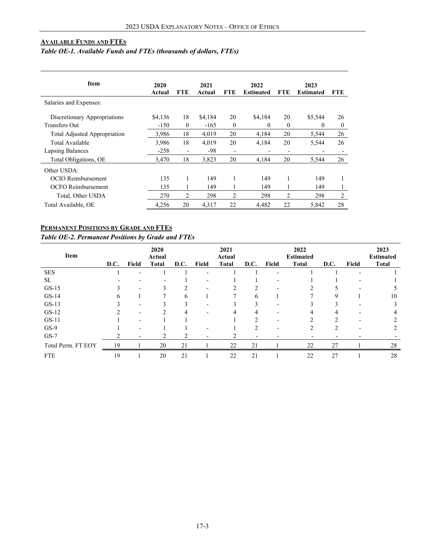## <span id="page-2-0"></span>**AVAILABLE FUNDS AND FTES**

# <span id="page-2-1"></span>*Table OE-1. Available Funds and FTEs (thousands of dollars, FTEs)*

| <b>Item</b>                         | 2020<br>Actual | <b>FTE</b>               | 2021<br>Actual | FTE                      | 2022<br><b>Estimated</b> | <b>FTE</b>     | 2023<br><b>Estimated</b> | <b>FTE</b>               |
|-------------------------------------|----------------|--------------------------|----------------|--------------------------|--------------------------|----------------|--------------------------|--------------------------|
| Salaries and Expenses:              |                |                          |                |                          |                          |                |                          |                          |
| Discretionary Appropriations        | \$4,136        | 18                       | \$4,184        | 20                       | \$4,184                  | 20             | \$5,544                  | 26                       |
| <b>Transfers Out</b>                | $-150$         | $\theta$                 | $-165$         | $\theta$                 | $\Omega$                 | $\theta$       | 0                        | $\mathbf{0}$             |
| <b>Total Adjusted Appropriation</b> | 3.986          | 18                       | 4,019          | 20                       | 4,184                    | 20             | 5,544                    | 26                       |
| Total Available                     | 3,986          | 18                       | 4,019          | 20                       | 4,184                    | 20             | 5,544                    | 26                       |
| Lapsing Balances                    | $-258$         | $\overline{\phantom{a}}$ | -98            | $\overline{\phantom{0}}$ | $\overline{a}$           | $\overline{a}$ |                          | $\overline{\phantom{a}}$ |
| Total Obligations, OE               | 3,470          | 18                       | 3,823          | 20                       | 4.184                    | 20             | 5.544                    | 26                       |
| Other USDA:                         |                |                          |                |                          |                          |                |                          |                          |
| <b>OCIO</b> Reimbursement           | 135            | 1                        | 149            |                          | 149                      |                | 149                      |                          |
| <b>OCFO</b> Reimbursement           | 135            |                          | 149            |                          | 149                      |                | 149                      | 1                        |
| Total, Other USDA                   | 270            | $\overline{2}$           | 298            | $\overline{c}$           | 298                      | 2              | 298                      | 2                        |
| Total Available, OE                 | 4,256          | 20                       | 4,317          | 22                       | 4,482                    | 22             | 5,842                    | 28                       |

## **PERMANENT POSITIONS BY GRADE AND FTES**

*Table OE-2. Permanent Positions by Grade and FTEs*

| Item               | D.C. | Field | 2020<br>Actual<br><b>Total</b> | D.C. | <b>Field</b> | 2021<br>Actual<br><b>Total</b> | D.C.                     | Field | 2022<br><b>Estimated</b><br><b>Total</b> | D.C. | <b>Field</b> | 2023<br><b>Estimated</b><br><b>Total</b> |
|--------------------|------|-------|--------------------------------|------|--------------|--------------------------------|--------------------------|-------|------------------------------------------|------|--------------|------------------------------------------|
| <b>SES</b>         |      |       |                                |      |              |                                |                          |       |                                          |      |              |                                          |
| <b>SL</b>          |      |       |                                |      |              |                                |                          |       |                                          |      |              |                                          |
| $GS-15$            |      |       | 3                              | ∍    |              |                                |                          |       |                                          |      |              |                                          |
| $GS-14$            | h    |       |                                | 6    |              |                                | 6                        |       |                                          | ч    |              | 10                                       |
| $GS-13$            |      |       |                                |      |              |                                |                          |       |                                          |      |              |                                          |
| $GS-12$            |      |       | 2                              |      |              |                                | 4                        |       |                                          | 4    |              |                                          |
| $GS-11$            |      |       |                                |      |              |                                |                          |       |                                          |      |              |                                          |
| $GS-9$             |      |       |                                |      |              |                                | ↑                        |       |                                          |      |              |                                          |
| $GS-7$             |      |       |                                |      |              |                                | $\overline{\phantom{0}}$ |       |                                          | -    |              |                                          |
| Total Perm. FT EOY | 19   |       | 20                             | 21   |              | 22                             | 21                       |       | 22                                       | 27   |              | 28                                       |
| <b>FTE</b>         | 19   |       | 20                             | 21   |              | 22                             | 21                       |       | 22                                       | 27   |              | 28                                       |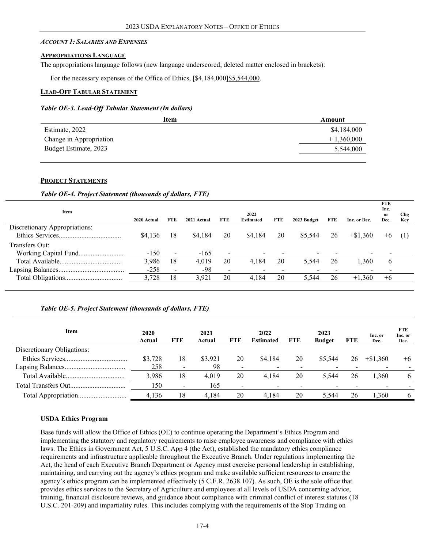#### <span id="page-3-0"></span>*ACCOUNT 1: SALARIES AND EXPENSES*

#### <span id="page-3-1"></span>**APPROPRIATIONS LANGUAGE**

The appropriations language follows (new language underscored; deleted matter enclosed in brackets):

For the necessary expenses of the Office of Ethics,  $[$4,184,000]\underline{\$5,544,000}$ .

### <span id="page-3-2"></span>**LEAD-OFF TABULAR STATEMENT**

#### *Table OE-3. Lead-Off Tabular Statement (In dollars)*

<span id="page-3-3"></span>

| Item                    | Amount       |
|-------------------------|--------------|
| Estimate, 2022          | \$4,184,000  |
| Change in Appropriation | $+1,360,000$ |
| Budget Estimate, 2023   | 5,544,000    |
|                         |              |

## **PROJECT STATEMENTS**

#### *Table OE-4. Project Statement (thousands of dollars, FTE)*

| Item                          |             |                          |             |                          | 2022                     |     |             |            |              | <b>FTE</b><br>Inc.<br><sub>or</sub> | <b>Chg</b> |
|-------------------------------|-------------|--------------------------|-------------|--------------------------|--------------------------|-----|-------------|------------|--------------|-------------------------------------|------------|
|                               | 2020 Actual | FTE                      | 2021 Actual | <b>FTE</b>               | <b>Estimated</b>         | FTE | 2023 Budget | <b>FTE</b> | Inc. or Dec. | Dec.                                | Kev        |
| Discretionary Appropriations: |             |                          |             |                          |                          |     |             |            |              |                                     |            |
|                               | \$4,136     | 18                       | \$4,184     | 20                       | \$4,184                  | 20  | \$5,544     | 26         | $+\$1.360$   | $+6$                                | (1)        |
| Transfers Out:                |             |                          |             |                          |                          |     |             |            |              |                                     |            |
|                               | $-150$      | $\overline{\phantom{a}}$ | $-165$      | $\overline{\phantom{a}}$ | $\overline{\phantom{0}}$ |     |             |            |              |                                     |            |
|                               | 3,986       | 18                       | 4.019       | 20                       | 4.184                    | 20  | 5.544       | 26         | 1,360        | $\mathbf b$                         |            |
|                               | $-258$      | $\overline{\phantom{a}}$ | -98         | $\blacksquare$           | -                        |     |             |            |              |                                     |            |
|                               | 3,728       | 18                       | 3.921       | 20                       | 4.184                    | 20  | 5,544       | 26         | $+1,360$     | $+6$                                |            |
|                               |             |                          |             |                          |                          |     |             |            |              |                                     |            |

## *Table OE-5. Project Statement (thousands of dollars, FTE)*

| Item                       | 2020<br>Actual | <b>FTE</b>     | 2021<br>Actual | <b>FTE</b> | 2022<br><b>Estimated</b> | <b>FTE</b> | 2023<br><b>Budget</b> | <b>FTE</b> | Inc. or<br>Dec. | <b>FTE</b><br>Inc. or<br>Dec. |
|----------------------------|----------------|----------------|----------------|------------|--------------------------|------------|-----------------------|------------|-----------------|-------------------------------|
| Discretionary Obligations: |                |                |                |            |                          |            |                       |            |                 |                               |
|                            | \$3,728        | 18             | \$3,921        | 20         | \$4,184                  | 20         | \$5,544               | 26         | $+\$1.360$      | $+6$                          |
|                            | 258            |                | 98             |            |                          |            |                       |            |                 |                               |
|                            | 3.986          | 18             | 4.019          | 20         | 4.184                    | 20         | 5.544                 | 26         | 1.360           | 6                             |
|                            | 150            | $\blacksquare$ | 165            |            |                          |            |                       |            |                 |                               |
|                            | 4.136          | 18             | 4.184          | 20         | 4.184                    | 20         | 5.544                 | 26         | .360            | 6                             |

## **USDA Ethics Program**

Base funds will allow the Office of Ethics (OE) to continue operating the Department's Ethics Program and implementing the statutory and regulatory requirements to raise employee awareness and compliance with ethics laws. The Ethics in Government Act, 5 U.S.C. App 4 (the Act), established the mandatory ethics compliance requirements and infrastructure applicable throughout the Executive Branch. Under regulations implementing the Act, the head of each Executive Branch Department or Agency must exercise personal leadership in establishing, maintaining, and carrying out the agency's ethics program and make available sufficient resources to ensure the agency's ethics program can be implemented effectively (5 C.F.R. 2638.107). As such, OE is the sole office that provides ethics services to the Secretary of Agriculture and employees at all levels of USDA concerning advice, training, financial disclosure reviews, and guidance about compliance with criminal conflict of interest statutes (18 U.S.C. 201-209) and impartiality rules. This includes complying with the requirements of the Stop Trading on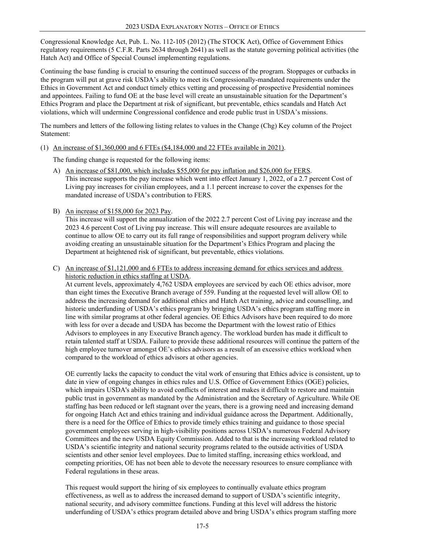Congressional Knowledge Act, Pub. L. No. 112-105 (2012) (The STOCK Act), Office of Government Ethics regulatory requirements (5 C.F.R. Parts 2634 through 2641) as well as the statute governing political activities (the Hatch Act) and Office of Special Counsel implementing regulations.

Continuing the base funding is crucial to ensuring the continued success of the program. Stoppages or cutbacks in the program will put at grave risk USDA's ability to meet its Congressionally-mandated requirements under the Ethics in Government Act and conduct timely ethics vetting and processing of prospective Presidential nominees and appointees. Failing to fund OE at the base level will create an unsustainable situation for the Department's Ethics Program and place the Department at risk of significant, but preventable, ethics scandals and Hatch Act violations, which will undermine Congressional confidence and erode public trust in USDA's missions.

The numbers and letters of the following listing relates to values in the Change (Chg) Key column of the Project Statement:

(1) An increase of \$1,360,000 and 6 FTEs (\$4,184,000 and 22 FTEs available in 2021).

The funding change is requested for the following items:

- A) An increase of \$81,000, which includes \$55,000 for pay inflation and \$26,000 for FERS. This increase supports the pay increase which went into effect January 1, 2022, of a 2.7 percent Cost of Living pay increases for civilian employees, and a 1.1 percent increase to cover the expenses for the mandated increase of USDA's contribution to FERS*.*
- B) An increase of \$158,000 for 2023 Pay.

This increase will support the annualization of the 2022 2.7 percent Cost of Living pay increase and the 2023 4.6 percent Cost of Living pay increase. This will ensure adequate resources are available to continue to allow OE to carry out its full range of responsibilities and support program delivery while avoiding creating an unsustainable situation for the Department's Ethics Program and placing the Department at heightened risk of significant, but preventable, ethics violations.

C) An increase of \$1,121,000 and 6 FTEs to address increasing demand for ethics services and address historic reduction in ethics staffing at USDA.

At current levels, approximately 4,762 USDA employees are serviced by each OE ethics advisor, more than eight times the Executive Branch average of 559. Funding at the requested level will allow OE to address the increasing demand for additional ethics and Hatch Act training, advice and counselling, and historic underfunding of USDA's ethics program by bringing USDA's ethics program staffing more in line with similar programs at other federal agencies. OE Ethics Advisors have been required to do more with less for over a decade and USDA has become the Department with the lowest ratio of Ethics Advisors to employees in any Executive Branch agency. The workload burden has made it difficult to retain talented staff at USDA. Failure to provide these additional resources will continue the pattern of the high employee turnover amongst OE's ethics advisors as a result of an excessive ethics workload when compared to the workload of ethics advisors at other agencies.

OE currently lacks the capacity to conduct the vital work of ensuring that Ethics advice is consistent, up to date in view of ongoing changes in ethics rules and U.S. Office of Government Ethics (OGE) policies, which impairs USDA's ability to avoid conflicts of interest and makes it difficult to restore and maintain public trust in government as mandated by the Administration and the Secretary of Agriculture. While OE staffing has been reduced or left stagnant over the years, there is a growing need and increasing demand for ongoing Hatch Act and ethics training and individual guidance across the Department. Additionally, there is a need for the Office of Ethics to provide timely ethics training and guidance to those special government employees serving in high-visibility positions across USDA's numerous Federal Advisory Committees and the new USDA Equity Commission. Added to that is the increasing workload related to USDA's scientific integrity and national security programs related to the outside activities of USDA scientists and other senior level employees. Due to limited staffing, increasing ethics workload, and competing priorities, OE has not been able to devote the necessary resources to ensure compliance with Federal regulations in these areas.

This request would support the hiring of six employees to continually evaluate ethics program effectiveness, as well as to address the increased demand to support of USDA's scientific integrity, national security, and advisory committee functions. Funding at this level will address the historic underfunding of USDA's ethics program detailed above and bring USDA's ethics program staffing more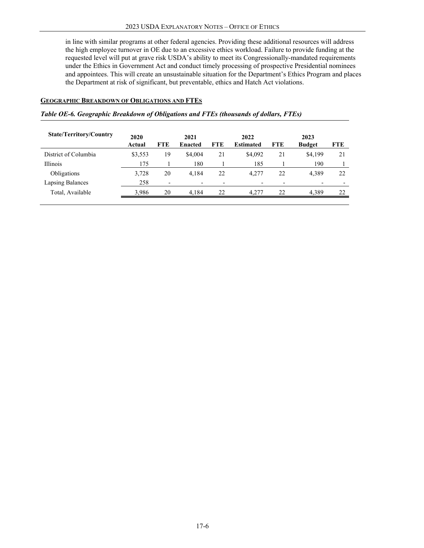<span id="page-5-0"></span>in line with similar programs at other federal agencies. Providing these additional resources will address the high employee turnover in OE due to an excessive ethics workload. Failure to provide funding at the requested level will put at grave risk USDA's ability to meet its Congressionally-mandated requirements under the Ethics in Government Act and conduct timely processing of prospective Presidential nominees and appointees. This will create an unsustainable situation for the Department's Ethics Program and places the Department at risk of significant, but preventable, ethics and Hatch Act violations.

## **GEOGRAPHIC BREAKDOWN OF OBLIGATIONS AND FTES**

#### *Table OE-6. Geographic Breakdown of Obligations and FTEs (thousands of dollars, FTEs)*

| <b>State/Territory/Country</b> | 2020<br>Actual | <b>FTE</b>               | 2021<br><b>Enacted</b> | <b>FTE</b>               | 2022<br><b>Estimated</b> | <b>FTE</b> | 2023<br><b>Budget</b> | <b>FTE</b> |
|--------------------------------|----------------|--------------------------|------------------------|--------------------------|--------------------------|------------|-----------------------|------------|
| District of Columbia           | \$3,553        | 19                       | \$4,004                | 21                       | \$4,092                  | 21         | \$4,199               | 21         |
| <b>Illinois</b>                | 175            |                          | 180                    |                          | 185                      |            | 190                   |            |
| Obligations                    | 3,728          | 20                       | 4.184                  | 22                       | 4.277                    | 22         | 4.389                 | 22         |
| Lapsing Balances               | 258            | $\overline{\phantom{0}}$ |                        | $\overline{\phantom{0}}$ |                          |            |                       |            |
| Total, Available               | 3.986          | 20                       | 4.184                  | 22                       | 4.277                    | 22         | 4.389                 | 22         |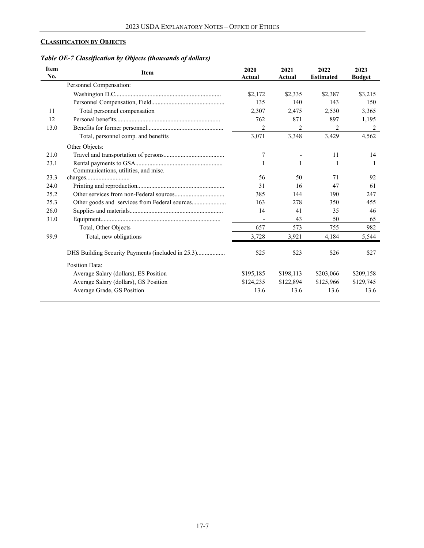## <span id="page-6-0"></span>**CLASSIFICATION BY OBJECTS**

| Table OE-7 Classification by Objects (thousands of dollars) |  |
|-------------------------------------------------------------|--|
|                                                             |  |

| <b>Item</b><br>No. | <b>Item</b>                                       | 2020<br>Actual | 2021<br>Actual | 2022<br><b>Estimated</b> | 2023<br><b>Budget</b> |
|--------------------|---------------------------------------------------|----------------|----------------|--------------------------|-----------------------|
|                    | Personnel Compensation:                           |                |                |                          |                       |
|                    |                                                   | \$2,172        | \$2,335        | \$2,387                  | \$3,215               |
|                    |                                                   | 135            | 140            | 143                      | 150                   |
| 11                 | Total personnel compensation                      | 2,307          | 2,475          | 2,530                    | 3,365                 |
| 12                 |                                                   | 762            | 871            | 897                      | 1,195                 |
| 13.0               |                                                   | $\overline{2}$ | 2              | 2                        | 2                     |
|                    | Total, personnel comp. and benefits               | 3,071          | 3,348          | 3,429                    | 4,562                 |
|                    | Other Objects:                                    |                |                |                          |                       |
| 21.0               |                                                   | 7              |                | 11                       | 14                    |
| 23.1               | Communications, utilities, and misc.              |                | 1              | 1                        |                       |
| 23.3               |                                                   | 56             | 50             | 71                       | 92                    |
| 24.0               |                                                   | 31             | 16             | 47                       | 61                    |
| 25.2               |                                                   | 385            | 144            | 190                      | 247                   |
| 25.3               | Other goods and services from Federal sources     | 163            | 278            | 350                      | 455                   |
| 26.0               |                                                   | 14             | 41             | 35                       | 46                    |
| 31.0               |                                                   |                | 43             | 50                       | 65                    |
|                    | Total, Other Objects                              | 657            | 573            | 755                      | 982                   |
| 99.9               | Total, new obligations                            | 3,728          | 3,921          | 4,184                    | 5,544                 |
|                    | DHS Building Security Payments (included in 25.3) | \$25           | \$23           | \$26                     | \$27                  |
|                    | Position Data:                                    |                |                |                          |                       |
|                    | Average Salary (dollars), ES Position             | \$195,185      | \$198,113      | \$203,066                | \$209,158             |
|                    | Average Salary (dollars), GS Position             | \$124,235      | \$122,894      | \$125,966                | \$129,745             |
|                    | Average Grade, GS Position                        | 13.6           | 13.6           | 13.6                     | 13.6                  |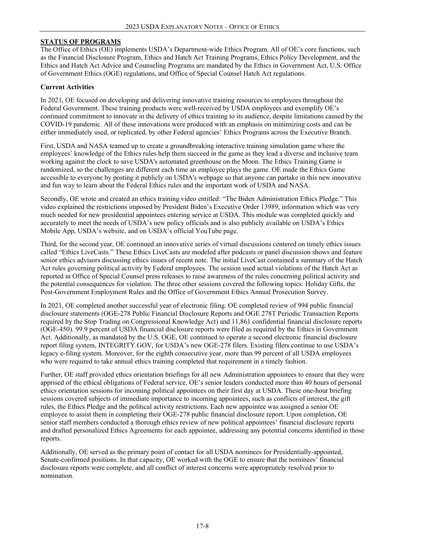## **STATUS OF PROGRAMS**

The Office of Ethics (OE) implements USDA's Department-wide Ethics Program. All of OE's core functions, such as the Financial Disclosure Program, Ethics and Hatch Act Training Programs, Ethics Policy Development, and the Ethics and Hatch Act Advice and Counseling Programs are mandated by the Ethics in Government Act, U.S. Office of Government Ethics (OGE) regulations, and Office of Special Counsel Hatch Act regulations.

### **Current Activities**

In 2021, OE focused on developing and delivering innovative training resources to employees throughout the Federal Government. These training products were well-received by USDA employees and exemplify OE's continued commitment to innovate in the delivery of ethics training to its audience, despite limitations caused by the COVID-19 pandemic. All of these innovations were produced with an emphasis on minimizing costs and can be either immediately used, or replicated, by other Federal agencies' Ethics Programs across the Executive Branch.

First, USDA and NASA teamed up to create a groundbreaking interactive training simulation game where the employees' knowledge of the Ethics rules help them succeed in the game as they lead a diverse and inclusive team working against the clock to save USDA's automated greenhouse on the Moon. The Ethics Training Game is randomized, so the challenges are different each time an employee plays the game. OE made the Ethics Game accessible to everyone by posting it publicly on USDA's webpage so that anyone can partake in this new innovative and fun way to learn about the Federal Ethics rules and the important work of USDA and NASA.

Secondly, OE wrote and created an ethics training video entitled: "The Biden Administration Ethics Pledge." This video explained the restrictions imposed by President Biden's Executive Order 13989, information which was very much needed for new presidential appointees entering service at USDA. This module was completed quickly and accurately to meet the needs of USDA's new policy officials and is also publicly available on USDA's Ethics Mobile App, USDA's website, and on USDA's official YouTube page.

Third, for the second year, OE continued an innovative series of virtual discussions centered on timely ethics issues called "Ethics LiveCasts." These Ethics LiveCasts are modeled after podcasts or panel discussion shows and feature senior ethics advisors discussing ethics issues of recent note. The initial LiveCast contained a summary of the Hatch Act rules governing political activity by Federal employees. The session used actual violations of the Hatch Act as reported in Office of Special Counsel press releases to raise awareness of the rules concerning political activity and the potential consequences for violation. The three other sessions covered the following topics: Holiday Gifts, the Post-Government Employment Rules and the Office of Government Ethics Annual Prosecution Survey.

In 2021, OE completed another successful year of electronic filing. OE completed review of 994 public financial disclosure statements (OGE-278 Public Financial Disclosure Reports and OGE 278T Periodic Transaction Reports required by the Stop Trading on Congressional Knowledge Act) and 11,861 confidential financial disclosure reports (OGE-450). 99.9 percent of USDA financial disclosure reports were filed as required by the Ethics in Government Act. Additionally, as mandated by the U.S. OGE, OE continued to operate a second electronic financial disclosure report filing system, INTEGRITY.GOV, for USDA's new OGE-278 filers. Existing filers continue to use USDA's legacy e-filing system. Moreover, for the eighth consecutive year, more than 99 percent of all USDA employees who were required to take annual ethics training completed that requirement in a timely fashion.

Further, OE staff provided ethics orientation briefings for all new Administration appointees to ensure that they were apprised of the ethical obligations of Federal service. OE's senior leaders conducted more than 40 hours of personal ethics orientation sessions for incoming political appointees on their first day at USDA. These one-hour briefing sessions covered subjects of immediate importance to incoming appointees, such as conflicts of interest, the gift rules, the Ethics Pledge and the political activity restrictions. Each new appointee was assigned a senior OE employee to assist them in completing their OGE-278 public financial disclosure report. Upon completion, OE senior staff members conducted a thorough ethics review of new political appointees' financial disclosure reports and drafted personalized Ethics Agreements for each appointee, addressing any potential concerns identified in those reports.

Additionally, OE served as the primary point of contact for all USDA nominees for Presidentially-appointed, Senate-confirmed positions. In that capacity, OE worked with the OGE to ensure that the nominees' financial disclosure reports were complete, and all conflict of interest concerns were appropriately resolved prior to nomination.